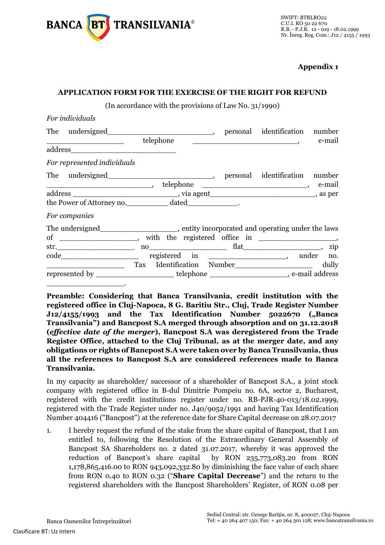

**Appendix 1**

## **APPLICATION FORM FOR THE EXERCISE OF THE RIGHT FOR REFUND**

(In accordance with the provisions of Law No. 31/1990)

| For individuals                                                                                                      |           |  |                                                                                                                                                                                                                                            |        |
|----------------------------------------------------------------------------------------------------------------------|-----------|--|--------------------------------------------------------------------------------------------------------------------------------------------------------------------------------------------------------------------------------------------|--------|
| The undersigned__________________________________, personal identification number                                    |           |  |                                                                                                                                                                                                                                            |        |
| <u> 1980 - Johann John Stein, markin fan it ferstjer fan de ferstjer fan it ferstjer fan de ferstjer fan it fers</u> | telephone |  | $\overline{\phantom{a}}$ , and the contract of the contract of the contract of the contract of the contract of the contract of the contract of the contract of the contract of the contract of the contract of the contract of the contrac | e-mail |
|                                                                                                                      |           |  |                                                                                                                                                                                                                                            |        |
| For represented individuals                                                                                          |           |  |                                                                                                                                                                                                                                            |        |
|                                                                                                                      |           |  |                                                                                                                                                                                                                                            |        |
| $\overline{\phantom{a}}$ , and the contract of the contract of $\overline{\phantom{a}}$ ,                            |           |  |                                                                                                                                                                                                                                            |        |
|                                                                                                                      |           |  |                                                                                                                                                                                                                                            |        |
| the Power of Attorney no. _____________ dated_____________.                                                          |           |  |                                                                                                                                                                                                                                            |        |
| For companies                                                                                                        |           |  |                                                                                                                                                                                                                                            |        |
| The undersigned__________________________, entity incorporated and operating under the laws                          |           |  |                                                                                                                                                                                                                                            |        |
| of _________________, with the registered office in ________________,                                                |           |  |                                                                                                                                                                                                                                            |        |
|                                                                                                                      |           |  |                                                                                                                                                                                                                                            |        |
|                                                                                                                      |           |  | registered in _________________________, under no.                                                                                                                                                                                         |        |
|                                                                                                                      |           |  |                                                                                                                                                                                                                                            | dully  |
| represented by _________________________telephone ________________________, e-mail address                           |           |  |                                                                                                                                                                                                                                            |        |
|                                                                                                                      |           |  |                                                                                                                                                                                                                                            |        |

**Preamble: Considering that Banca Transilvania, credit institution with the registered office in Cluj-Napoca, 8 G. Baritiu Str., Cluj, Trade Register Number J12/4155/1993 and the Tax Identification Number 5022670 ("Banca Transilvania") and Bancpost S.A merged through absorption and on 31.12.2018 (***effective date of the merger***), Bancpost S.A was deregistered from the Trade Register Office, attached to the Cluj Tribunal, as at the merger date, and any obligations or rights of Bancpost S.A were taken over by Banca Transilvania, thus all the references to Bancpost S.A are considered references made to Banca Transilvania.** 

In my capacity as shareholder/ successor of a shareholder of Bancpost S.A., a joint stock company with registered office in B-dul Dimitrie Pompeiu no. 6A, sector 2, Bucharest, registered with the credit institutions register under no. RB-PJR-40-013/18.02.1999, registered with the Trade Register under no. J40/9052/1991 and having Tax Identification Number 404416 ("Bancpost") at the reference date for Share Capital decrease on 28.07.2017

1. I hereby request the refund of the stake from the share capital of Bancpost, that I am entitled to, following the Resolution of the Extraordinary General Assembly of Bancpost SA Shareholders no. 2 dated 31.07.2017, whereby it was approved the reduction of Bancpost's share capital by RON 235,773,083.20 from RON 1,178,865,416.00 to RON 943,092,332.80 by diminishing the face value of each share from RON 0.40 to RON 0.32 ("**Share Capital Decrease**") and the return to the registered shareholders with the Bancpost Shareholders' Register, of RON 0.08 per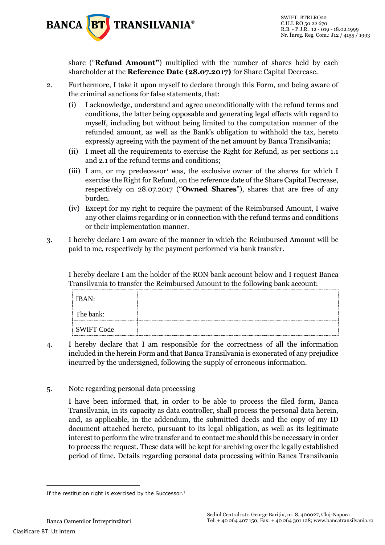

share ("**Refund Amount"**) multiplied with the number of shares held by each shareholder at the **Reference Date (28.07.2017)** for Share Capital Decrease.

- 2. Furthermore, I take it upon myself to declare through this Form, and being aware of the criminal sanctions for false statements, that:
	- (i) I acknowledge, understand and agree unconditionally with the refund terms and conditions, the latter being opposable and generating legal effects with regard to myself, including but without being limited to the computation manner of the refunded amount, as well as the Bank's obligation to withhold the tax, hereto expressly agreeing with the payment of the net amount by Banca Transilvania;
	- (ii) I meet all the requirements to exercise the Right for Refund, as per sections 1.1 and 2.1 of the refund terms and conditions;
	- (iii) I am, or my predecessor<sup>1</sup> was, the exclusive owner of the shares for which I exercise the Right for Refund, on the reference date of the Share Capital Decrease, respectively on 28.07.2017 ("**Owned Shares**"), shares that are free of any burden.
	- (iv) Except for my right to require the payment of the Reimbursed Amount, I waive any other claims regarding or in connection with the refund terms and conditions or their implementation manner.
- 3. I hereby declare I am aware of the manner in which the Reimbursed Amount will be paid to me, respectively by the payment performed via bank transfer.

I hereby declare I am the holder of the RON bank account below and I request Banca Transilvania to transfer the Reimbursed Amount to the following bank account:

| <br><b>IBAN:</b>  |  |
|-------------------|--|
| The bank:         |  |
| <b>SWIFT Code</b> |  |

4. I hereby declare that I am responsible for the correctness of all the information included in the herein Form and that Banca Transilvania is exonerated of any prejudice incurred by the undersigned, following the supply of erroneous information.

## 5. Note regarding personal data processing

I have been informed that, in order to be able to process the filed form, Banca Transilvania, in its capacity as data controller, shall process the personal data herein, and, as applicable, in the addendum, the submitted deeds and the copy of my ID document attached hereto, pursuant to its legal obligation, as well as its legitimate interest to perform the wire transfer and to contact me should this be necessary in order to process the request. These data will be kept for archiving over the legally established period of time. Details regarding personal data processing within Banca Transilvania

-

If the restitution right is exercised by the Successor.<sup>1</sup>